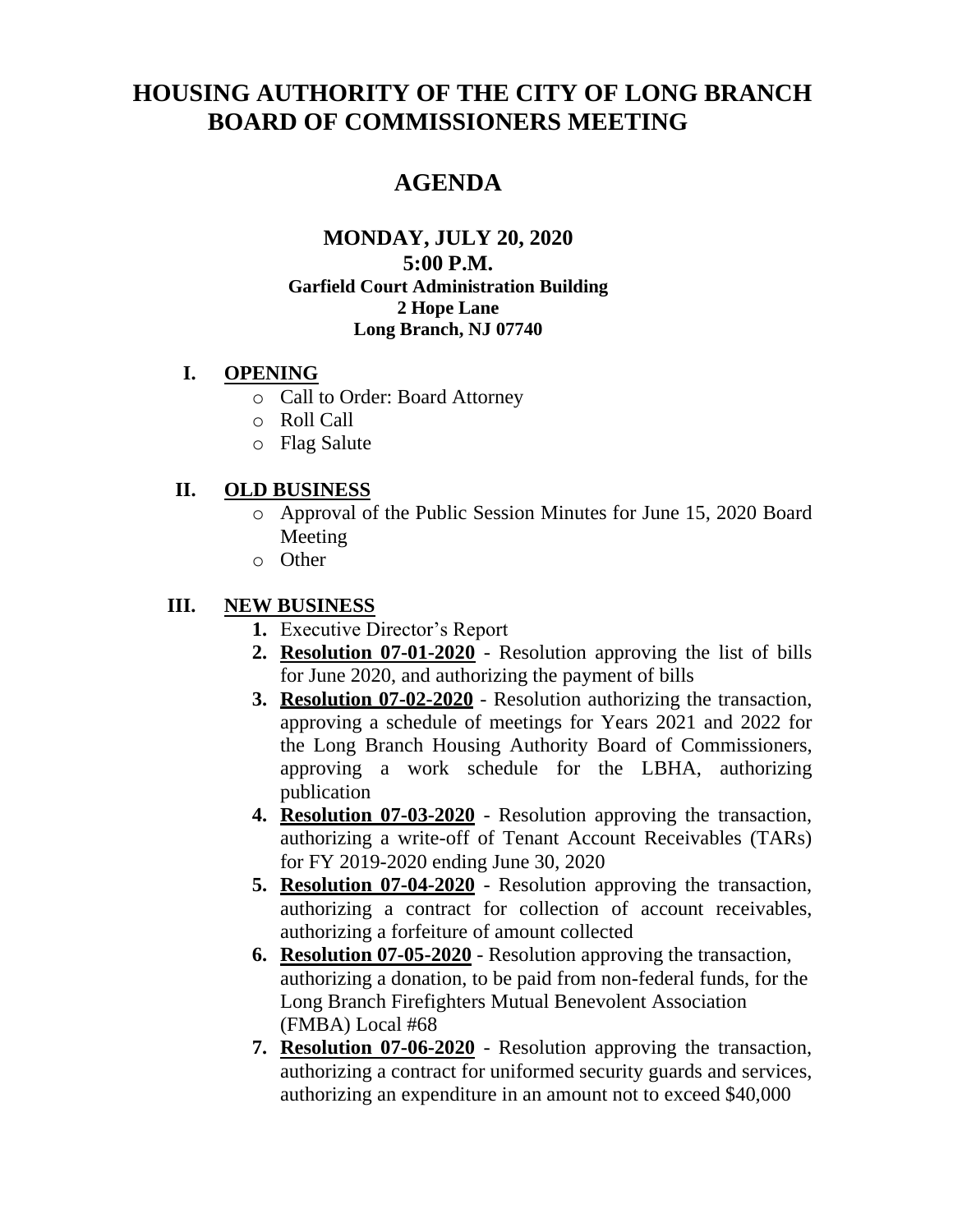# **HOUSING AUTHORITY OF THE CITY OF LONG BRANCH BOARD OF COMMISSIONERS MEETING**

## **AGENDA**

#### **MONDAY, JULY 20, 2020 5:00 P.M. Garfield Court Administration Building 2 Hope Lane Long Branch, NJ 07740**

#### **I. OPENING**

- o Call to Order: Board Attorney
- o Roll Call
- o Flag Salute

#### **II. OLD BUSINESS**

- o Approval of the Public Session Minutes for June 15, 2020 Board Meeting
- o Other

### **III. NEW BUSINESS**

- **1.** Executive Director's Report
- **2. Resolution 07-01-2020** Resolution approving the list of bills for June 2020, and authorizing the payment of bills
- **3. Resolution 07-02-2020** Resolution authorizing the transaction, approving a schedule of meetings for Years 2021 and 2022 for the Long Branch Housing Authority Board of Commissioners, approving a work schedule for the LBHA, authorizing publication
- **4. Resolution 07-03-2020** Resolution approving the transaction, authorizing a write-off of Tenant Account Receivables (TARs) for FY 2019-2020 ending June 30, 2020
- **5. Resolution 07-04-2020** Resolution approving the transaction, authorizing a contract for collection of account receivables, authorizing a forfeiture of amount collected
- **6. Resolution 07-05-2020** Resolution approving the transaction, authorizing a donation, to be paid from non-federal funds, for the Long Branch Firefighters Mutual Benevolent Association (FMBA) Local #68
- **7. Resolution 07-06-2020** Resolution approving the transaction, authorizing a contract for uniformed security guards and services, authorizing an expenditure in an amount not to exceed \$40,000